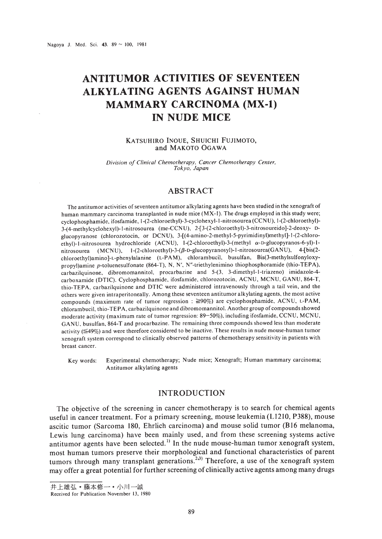# **ANTITUMOR ACTIVITIES OF SEVENTEEN ALKYLATING AGENTS AGAINST HUMAN MAMMARY CARCINOMA (MX-l) IN NUDE MICE**

#### KATSUHIRO INOUE, SHUICHI FUJIMOTO, and MAKOTO OGAWA

*Division 01 Clinical Chemotherapy. Cancer Chemotherapy Center. Tokyo. Japan*

## ABSTRACT

The antitumor activities of seventeen antitumor alkylating agents have been studied in the xenograft of human mammary carcinoma transplanted in nude mice (MX-I). The drugs employed in this study were; cyclophosphamide, ifosfamide, 1-(2-chloroethyl)-3-cyclohexyl-1-nitrosourea (CCNU), 1-(2-chloroethyl)-3-(4-methylcyclohexyl)-I-nitrosourea (me-CCN U). 2-[3-(2-ehloroethyl)-3-nitrosoureido]-2-deoxy- Dglucopyranose (chlorozotocin, or DCNU), 3-[(4-amino-2-methyl-5-pyrimidinyl)methyl]-1-(2-chloroethyl)-1-nitrosourea hydrochloride (ACNU), 1-(2-chloroethyl)-3-(methyl a-D-glucopyranos-6-yl)-1nitrosourea (MCNU), 1-(2-chloroethyl)-3-( $\beta$ -D-glucopyranosyl)-1-nitrosourea(GANU), 4-[bis(2chloroethyl)amino]-L-phenylalanine (L-PAM), chlorambucil, busulfan, Bis(3-methylsulfonyloxypropyl)amine p-toluenesulfonate (864-T). N. N'. N"-triethylenimino thiophosphoramide (thio-TEPA). carbazilquinone. dibromomannitol, procarbazine and 5-(3. 3-dimethyl-l-triazeno) imidazole-4 carboxamide (OTIC). Cyclophosphamide. ifosfamide. chlorozotocin. ACNU. MCNU. GANU, 864-T. thio-TEPA. carbazilquinone and OTIC were administered intravenously through a tail vein, and the others were given intraperitoneally. Among these seventeen antitumor alkylating agents, the most active compounds (maximum rate of tumor regression :  $\geq 90\%$ ) are cyclophosphamide. ACNU, L-PAM, chlorambucil. thio-TEPA. carbazilquinone and dibromomannitol. Another group of compounds showed moderate activity (maximum rate of tumor regression: 89-50%), including ifosfamide, CCNU, MCNU, GANU. busulfan. 864-T and procarbazine. The remaining three compounds showed less than moderate activity  $(\leq 49\%)$  and were therefore considered to be inactive. These results in nude mouse-human tumor xenograft system correspond to clinically observed patterns of chemotherapy sensitivity in patients with breast cancer.

Key words: Experimental chemotherapy; Nude mice; Xenograft; Human mammary carcinoma; Antitumor alkylating agents

### INTRODUCTION

The objective of the screening in cancer chemotherapy is to search for chemical agents useful in cancer treatment. For a primary screening, mouse leukemia (Ll21O, P388), mouse ascitic tumor (Sarcoma 180, Ehrlich carcinoma) and mouse solid tumor (B16 melanoma, Lewis lung carcinoma) have been mainly used, and from these screening systems active antitumor agents have been selected.<sup>1)</sup> In the nude mouse-human tumor xenograft system, most human tumors preserve their morphological and functional characteristics of parent tumors through many transplant generations.<sup>2,3)</sup> Therefore, a use of the xenograft system may offer a great potential for further screening of clinically active agents among many drugs

<sup>————————————————————&</sup>lt;br>|<br>| Received for Publication November 13, 1980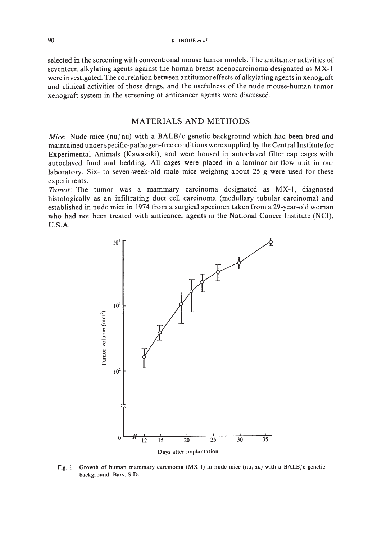selected in the screening with conventional mouse tumor models. The antitumor activities of seventeen alkylating agents against the human breast adenocarcinoma designated as MX-I were investigated. The correlation between antitumor effects of alkylating agents in xenograft and clinical activities of those drugs, and the usefulness of the nude mouse-human tumor xenograft system in the screening of anticancer agents were discussed.

## MATERIALS AND METHODS

*Mice*: Nude mice (nu/nu) with a BALB/c genetic background which had been bred and maintained under specific-pathogen-free conditions were supplied by the Central Institute for Experimental Animals (Kawasaki), and were housed in autoclaved filter cap cages with autoclaved food and bedding. All cages were placed in a laminar-air-flow unit in our laboratory. Six- to seven-week-old male mice weighing about 25 g were used for these experiments.

*Tumor:* The tumor was a mammary carcinoma designated as MX-I, diagnosed histologically as an infiltrating duct cell carcinoma (medullary tubular carcinoma) and established in nude mice in 1974 from a surgical specimen taken from a 29-year-old woman who had not been treated with anticancer agents in the National Cancer Institute (NCI), U.S.A.



Fig. 1 Growth of human mammary carcinoma (MX-1) in nude mice (nu/nu) with a BALB/c genetic background. Bars, S.D.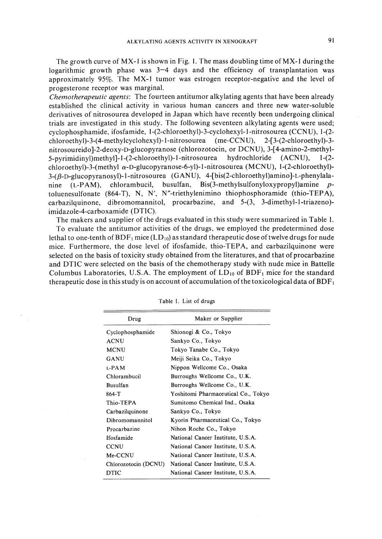The growth curve of MX-I is shown in Fig. I. The mass doubling time of MX-I during the logarithmic growth phase was 3-4 days and the efficiency of transplantation was approximately 95%. The MX-I tumor was estrogen receptor-negative and the level of progesterone receptor was marginal.

*Chemotherapeutic agents:* The fourteen antitumor alkylating agents that have been already established the clinical activity in various human cancers and three new water-soluble derivatives of nitrosourea developed in Japan which have recently been undergoing clinical trials are investigated in this study. The following seventeen alkylating agents were used; cyclophosphamide, ifosfamide, 1-(2-chloroethyl)-3-cyclohexyl-l-nitrosourea (CCN U), 1-(2 chloroethy1)-3-(4-methylcyclohexyl)-I-nitrosourea (me-CCN U), 2-[3-(2-chloroethyl)-3 nitrosoureido]-2-deoxy-o-glucopyranose (chlorozotocin, or OCNU), 3-[4-amino-2-methyl-5-pyrimidinyl)methyl]-I-(2-chloroethyl)-I-nitrosourea hydrochloride (ACN U), 1-(2 chloroethyl)-3-(methyl  $\alpha$ -D-glucopyranose-6-yl)-1-nitrosourea (MCNU), 1-(2-chloroethyl)-3-(ß-D-glucopyranosyl)-1-nitrosourea (GANU), 4-[bis(2-chloroethyl)amino]-L-phenylalanine (L-PAM), chlorambucil, busulfan, Bis(3-methylsulfonyloxypropyl)amine *p*toluenesulfonate (864-T), N, N', N"-triethylenimino thiophosphoramide (thio-TEPA), carbazilquinone, dibromomannitol, procarbazine, and 5-(3, 3-dimethyl-l-triazeno) imidazole-4-carboxamide (OTIC).

The makers and supplier of the drugs evaluated in this study were summarized in Table I.

To evaluate the antitumor activities of the drugs, we employed the predetermined dose lethal to one-tenth of  $BDF<sub>1</sub>$  mice (LD<sub>10</sub>) as standard therapeutic dose of twelve drugs for nude mice. Furthermore, the dose level of ifosfamide, thio-TEPA, and carbazilquinone were selected on the basis of toxicity study obtained from the literatures, and that of procarbazine and OTIC were selected on the basis of the chemotherapy study with nude mice in Battelle Columbus Laboratories, U.S.A. The employment of  $LD_{10}$  of  $BDF_1$  mice for the standard therapeutic dose in this study is on account of accumulation of the toxicological data of  $BDF<sub>1</sub>$ 

| Drug                 | Maker or Supplier                   |
|----------------------|-------------------------------------|
| Cyclophosphamide     | Shionogi & Co., Tokyo               |
| <b>ACNU</b>          | Sankyo Co., Tokyo                   |
| <b>MCNU</b>          | Tokyo Tanabe Co., Tokyo             |
| GANU                 | Meiji Seika Co., Tokyo              |
| 1-PAM                | Nippon Wellcome Co., Osaka          |
| Chlorambucil         | Burroughs Wellcome Co., U.K.        |
| <b>Busulfan</b>      | Burroughs Wellcome Co., U.K.        |
| 864-T                | Yoshitomi Pharmaceutical Co., Tokyo |
| Thio-TEPA            | Sumitomo Chemical Ind., Osaka       |
| Carbazilquinone      | Sankyo Co., Tokyo                   |
| Dibromomannitol      | Kyorin Pharmaceutical Co., Tokyo    |
| Procarbazine         | Nihon Roche Co., Tokyo              |
| Ifosfamide           | National Cancer Institute, U.S.A.   |
| <b>CCNU</b>          | National Cancer Institute, U.S.A.   |
| Me-CCNU              | National Cancer Institute, U.S.A.   |
| Chlorozotocin (DCNU) | National Cancer Institute, U.S.A.   |
| DTIC                 | National Cancer Institute, U.S.A.   |

Table I. List of drugs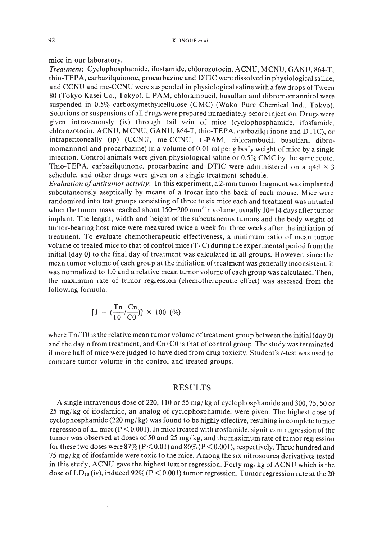mice in our laboratory.

*Treatment:* Cyclophosphamide, ifosfamide, chlorozotocin, ACNU, MCNU, GANU, 864-T, thio-TEPA, carbazilquinone, procarbazine and OTIC were dissolved in physiologicalsaline, and CCNU and me-CCNU were suspended in physiological saline with a few drops of Tween 80 (Tokyo Kasei Co., Tokyo). L-PAM, chlorambucil, busulfan and dibromomannitol were suspended in 0.5% carboxymethylcellulose (CMC) (Wako Pure Chemical Ind., Tokyo). Solutions or suspensions of all drugs were prepared immediately before injection. Drugs were given intravenously (iv) through tail vein of mice (cyclophosphamide, ifosfamide, chlorozotocin, ACNU, MCNU, GANU, 864-T, thio-TEPA, carbazilquinone and OTIC), or intraperitoneally (ip) (CCNU, me-CCNU, L-PAM, chlorambucil, busulfan, dibromomannitol and procarbazine) in a volume of 0.01 ml per g body weight of mice by a single injection. Control animals were given physiological saline or 0.5% CMC by the same route. Thio-TEPA, carbazilquinone, procarbazine and DTIC were administered on a  $q4d \times 3$ schedule, and other drugs were given on a single treatment schedule.

*Evaluation ofantitumor activity:* In this experiment, a 2-mm tumor fragment was implanted subcutaneously aseptically by means of a trocar into the back of each mouse. Mice were randomized into test groups consisting of three to six mice each and treatment was initiated when the tumor mass reached about 150–200 mm<sup>3</sup> in volume, usually 10–14 days after tumor implant. The length, width and height of the subcutaneous tumors and the body weight of tumor-bearing host mice were measured twice a week for three weeks after the initiation of treatment. To evaluate chemotherapeutic effectiveness, a minimum ratio of mean tumor volume of treated mice to that of control mice  $(T/C)$  during the experimental period from the initial (day 0) to the final day of treatment was calculated in all groups. However, since the mean tumor volume of each group at the initiation of treatment was generally inconsistent, it was normalized to 1.0 and a relative mean tumor volume of each group was calculated. Then, the maximum rate of tumor regression (chemotherapeutic effect) was assessed from the following formula:

$$
[1 - (\frac{Tn}{T0}/\frac{Cn}{C0})] \times 100~(\%)
$$

where Tn!TO is the relative mean tumor volume oftreatment group between the initial (day 0) and the day n from treatment, and  $Cn/CO$  is that of control group. The study was terminated if more half of mice were judged to have died from drug toxicity. Student's *t-test* was used to compare tumor volume in the control and treated groups.

#### RESULTS

A single intravenous dose of 220, 110 or 55 mg/ kg of cyclophosphamide and 300, 75, 50 or  $25 \text{ mg/kg}$  of ifosfamide, an analog of cyclophosphamide, were given. The highest dose of cyclophosphamide (220 mg/kg) was found to be highly effective, resulting in complete tumor regression of all mice ( $P < 0.001$ ). In mice treated with ifosfamide, significant regression of the tumor was observed at doses of 50 and 25 mg/kg, and the maximum rate of tumor regression for these two doses were  $87\%$  (P  $\leq$  0.01) and  $86\%$  (P  $\leq$  0.001), respectively. Three hundred and 75 mg/kg of ifosfamide were toxic to the mice. Among the six nitrosourea derivatives tested in this study, ACNU gave the highest tumor regression. Forty mg/kg of ACNU which is the dose of  $LD_{10}$  (iv), induced 92% (P < 0.001) tumor regression. Tumor regression rate at the 20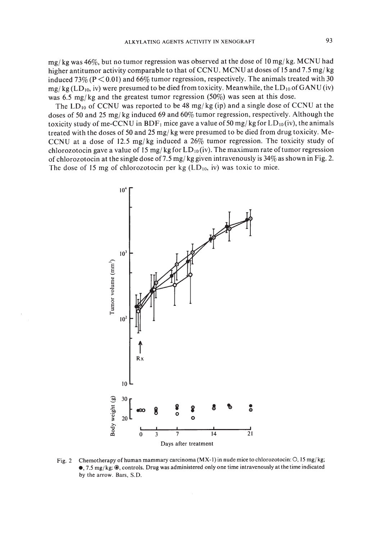$mg/kg$  was 46%, but no tumor regression was observed at the dose of 10 mg/kg. MCNU had higher antitumor activity comparable to that of CCNU. MCNU at doses of 15 and 7.5 mg/kg induced 73% ( $P < 0.01$ ) and 66% tumor regression, respectively. The animals treated with 30  $mg/kg (LD_{10}$ , iv) were presumed to be died from toxicity. Meanwhile, the  $LD_{10}$  of GANU (iv) was 6.5 mg/kg and the greatest tumor regression (50%) was seen at this dose.

The  $LD_{10}$  of CCNU was reported to be 48 mg/kg (ip) and a single dose of CCNU at the doses of 50 and 25 mg/kg induced 69 and 60% tumor regression, respectively. Although the toxicity study of me-CCNU in BDF<sub>1</sub> mice gave a value of 50 mg/kg for  $LD_{10}(iv)$ , the animals treated with the doses of 50 and 25 mg/kg were presumed to be died from drug toxicity. Me-CCNU at a dose of 12.5 mg/kg induced a  $26\%$  tumor regression. The toxicity study of chlorozotocin gave a value of 15 mg/kg for  $LD_{10}$  (iv). The maximum rate of tumor regression of chlorozotocin at the single dose of 7.5 mg/kg given intravenously is  $34\%$  as shown in Fig. 2. The dose of 15 mg of chlorozotocin per kg  $(LD_{10}, \text{iv})$  was toxic to mice.



Fig. 2 Chemotherapy of human mammary carcinoma (MX-1) in nude mice to chlorozotocin: O, 15 mg/kg; e, 7.5 mg/kg: @, controls. Drug was administered only one time intravenously at the time indicated by the arrow. Bars. S.D.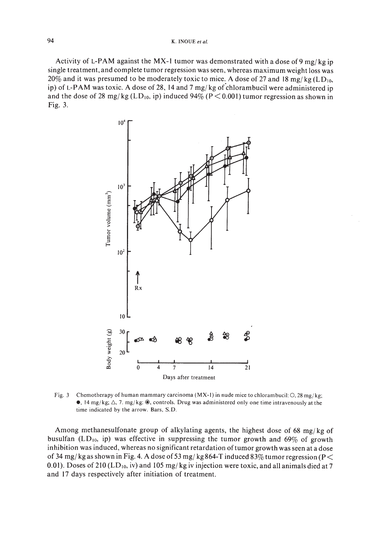Activity of L-PAM against the MX-1 tumor was demonstrated with a dose of 9 mg/kg ip single treatment, and complete tumor regression was seen, whereas maximum weight loss was 20% and it was presumed to be moderately toxic to mice. A dose of 27 and 18 mg/kg (LD<sub>10</sub>, ip) of L-PAM was toxic. A dose of 28, 14 and 7 mg/ kg of chlorambucil were administered ip and the dose of 28 mg/kg (LD<sub>10</sub>, ip) induced 94% (P < 0.001) tumor regression as shown in Fig. 3.



Fig. 3 Chemotherapy of human mammary carcinoma (MX-1) in nude mice to chlorambucil:  $\Omega$ , 28 mg/kg;  $\bullet$ , 14 mg/kg;  $\triangle$ , 7. mg/kg:  $\bullet$ , controls. Drug was administered only one time intravenously at the time indicated by the arrow. Bars. S.D.

Among methanesulfonate group of alkylating agents, the highest dose of 68 mg/kg of busulfan (LD<sub>10</sub>, ip) was effective in suppressing the tumor growth and 69% of growth inhibition was induced, whereas no significant retardation oftumor growth was seen at a dose of 34 mg/kg as shown in Fig. 4. A dose of 53 mg/kg 864-T induced 83% tumor regression (P  $<$ 0.01). Doses of 210 (LD<sub>10</sub>, iv) and 105 mg/kg iv injection were toxic, and all animals died at 7 and 17 days respectively after initiation of treatment.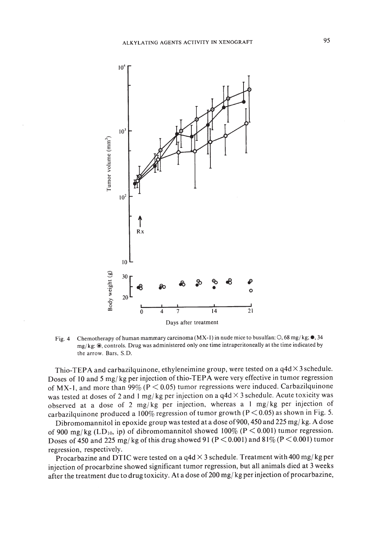

Fig. 4 Chemotherapy of human mammary carcinoma (MX-I) in nude mice to busulfan: 0, 68 mg/kg; **e,** 34 mg/ kg: @, controls. Drug was administered only one time intraperitoneally at the time indicated by the arrow. Bars, S.D.

Thio-TEPA and carbazilquinone, ethyleneimine group, were tested on a  $q4d \times 3$  schedule. Doses of 10 and 5 mg/kg per injection of thio-TEPA were very effective in tumor regression of MX-1, and more than 99% ( $P < 0.05$ ) tumor regressions were induced. Carbazilquinone was tested at doses of 2 and 1 mg/kg per injection on a  $q4d \times 3$  schedule. Acute toxicity was observed at a dose of 2 mg/kg per injection, whereas a 1 mg/kg per injection of carbazilquinone produced a 100% regression of tumor growth ( $P < 0.05$ ) as shown in Fig. 5.

Dibromomannitol in epoxide group was tested at a dose of 900, 450 and 225 mg/kg. A dose of 900 mg/kg (LD<sub>10</sub>, ip) of dibromomannitol showed 100% (P < 0.001) tumor regression. Doses of 450 and 225 mg/kg of this drug showed 91 (P < 0.001) and 81% (P < 0.001) tumor regression, respectively.

Procarbazine and DTIC were tested on a q4d  $\times$  3 schedule. Treatment with 400 mg/kg per injection of procarbzine showed significant tumor regression, but all animals died at 3 weeks after the treatment due to drug toxicity. At a dose of 200 mg/kg per injection of procarbazine,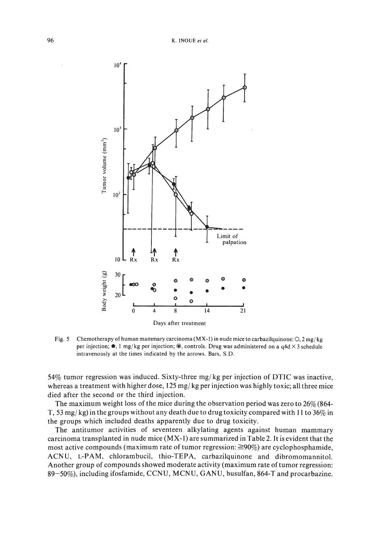

Fig. 5 Chemotherapy of human mammary carcinoma (MX-1) in nude mice to carbazilguinone:  $O$ ,  $2 \frac{mg}{kg}$ per injection;  $\bullet$ , 1 mg/kg per injection;  $\bullet$ , controls. Drug was administered on a q4d  $\times$ 3 schedule intravenously at the times indicated by the arrows. Bars, S.D.

54% tumor regression was induced. Sixty-three mg/ kg per injection of DTIC was inactive, whereas a treatment with higher dose,  $125 \text{ mg/kg}$  per injection was highly toxic; all three mice died after the second or the third injection.

The maximum weight loss of the mice during the observation period was zero to  $26\%$  (864-T, 53 mg/ kg) in the groups without any death due to drug toxicity compared with **II** to 36% in the groups which included deaths apparently due to drug toxicity.

The antitumor activities of seventeen alkylating agents against human mammary carcinoma transplanted in nude mice (MX-I) are summarized in Table 2. **It** is evident that the most active compounds (maximum rate of tumor regression:  $\geq 90\%$ ) are cyclophosphamide, ACNU, L-PAM, chlorambucil, thio-TEPA, carbazilquinone and dibromomannitol. Another group of compounds showed moderate activity (maximum rate oftumor regression: 89-50%), including ifosfamide, CCNU, MCNU, GANU, busulfan, 864-T and procarbazine.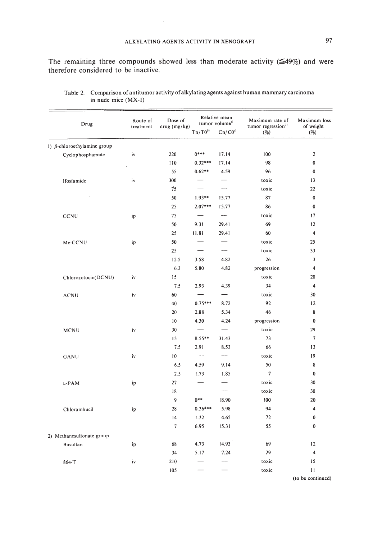The remaining three compounds showed less than moderate activity ( $\leq 49\%$ ) and were therefore considered to be inactive.

| Drug                               | Route of<br>treatment | Dose of<br>drug (mg/kg) | Relative mean<br>tumor volume <sup>a)</sup> |                          | Maximum rate of<br>tumor regression <sup>d)</sup> | Maximum loss<br>of weight |
|------------------------------------|-----------------------|-------------------------|---------------------------------------------|--------------------------|---------------------------------------------------|---------------------------|
|                                    |                       |                         | $Tn/T0^{b}$                                 | $Cn/C0^{c}$              | (%)                                               | (%)                       |
| 1) $\beta$ -chloroethylamine group |                       |                         |                                             |                          |                                                   |                           |
| Cyclophosphamide                   | iv                    | 220                     | $0***$                                      | 17.14                    | 100                                               | $\mathbf{2}$              |
|                                    |                       | 110                     | $0.32***$                                   | 17.14                    | 98                                                | $\bf{0}$                  |
|                                    |                       | 55                      | $0.62**$                                    | 4.59                     | 96                                                | $\bf{0}$                  |
| Ifosfamide                         | iv                    | 300                     |                                             |                          | toxic                                             | 13                        |
|                                    |                       | 75                      |                                             | —<br>——                  | toxic                                             | 22                        |
|                                    |                       | 50                      | $1.93**$                                    | 15.77                    | 87                                                | $\bf{0}$                  |
|                                    |                       | 25                      | $2.07***$                                   | 15.77                    | 86                                                | $\bf{0}$                  |
| CCNU                               | ip                    | 75                      |                                             | $\overline{\phantom{a}}$ | toxic                                             | 17                        |
|                                    |                       | 50                      | 9.31                                        | 29.41                    | 69                                                | 12                        |
|                                    |                       | 25                      | 11.81                                       | 29.41                    | 60                                                | $\overline{4}$            |
| Me-CCNU                            | ip                    | 50                      |                                             |                          | toxic                                             | 25                        |
|                                    |                       | 25                      |                                             |                          | toxic                                             | 33                        |
|                                    |                       | 12.5                    | 3.58                                        | 4.82                     | 26                                                | 3                         |
|                                    |                       | 6.3                     | 5.80                                        | 4.82                     | progression                                       | $\overline{\mathbf{4}}$   |
| Chlorozotocin(DCNU)                | iv                    | 15                      | $\overline{\phantom{m}}$                    | $\overline{\phantom{0}}$ | toxic                                             | 20                        |
|                                    |                       | 7.5                     | 2.93                                        | 4.39                     | 34                                                | 4                         |
| <b>ACNU</b>                        | iv                    | 60                      |                                             | $\overline{\phantom{0}}$ | toxic                                             | 30                        |
|                                    |                       | 40                      | $0.75***$                                   | 8.72                     | 92                                                | 12                        |
|                                    |                       | 20                      | 2.88                                        | 5.34                     | 46                                                | 8                         |
|                                    |                       | 10                      | 4.30                                        | 4.24                     | progression                                       | $\bf{0}$                  |
| MCNU                               | iv                    | 30                      |                                             |                          | toxic                                             | 29                        |
|                                    |                       | 15                      | $8.55**$                                    | 31.43                    | 73                                                | $\overline{7}$            |
|                                    |                       | 7.5                     | 2.91                                        | 8.53                     | 66                                                | 13                        |
| GANU                               | iv                    | 10                      | $\overline{\phantom{a}}$                    |                          | toxic                                             | 19                        |
|                                    |                       | 6.5                     | 4.59                                        | 9.14                     | 50                                                | 8                         |
|                                    |                       | 2.5                     | 1.73                                        | 1.85                     | $\overline{7}$                                    | $\bf{0}$                  |
| L-PAM                              | ip                    | 27                      |                                             |                          | toxic                                             | 30                        |
|                                    | 18                    |                         |                                             |                          | toxic                                             | 30                        |
|                                    |                       | 9                       | $0***$                                      | 18.90                    | 100                                               | 20                        |
| Chlorambucil                       | ip                    | 28                      | $0.36***$                                   | 5.98                     | 94                                                | 4                         |
|                                    |                       | 14                      | 1.32                                        | 4.65                     | 72                                                | $\bf{0}$                  |
|                                    |                       | $\overline{7}$          | 6.95                                        | 15.31                    | 55                                                | 0                         |
| 2) Methanesulfonate group          |                       |                         |                                             |                          |                                                   |                           |
| Busulfan                           | ip                    | 68                      | 4.73                                        | 14.93                    | 69                                                | 12                        |
|                                    |                       | 34                      | 5.17                                        | 7.24                     | 29                                                | $\overline{\bf{4}}$       |
| 864-T                              | iv                    | 210                     |                                             |                          | toxic                                             | 15                        |
|                                    |                       | 105                     |                                             |                          | toxic                                             | $\mathbf{1}$              |

Table 2. Comparison of antitumor activity ofalkylating agents against human mammary carcinoma in nude mice (MX-I)

(to be continued)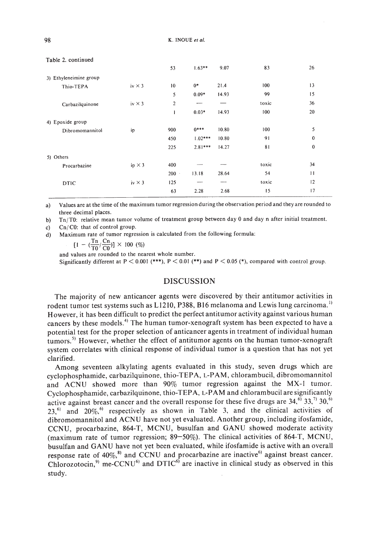|                        |               | 53             | $1.63**$  | 9.07  | 83    | 26              |
|------------------------|---------------|----------------|-----------|-------|-------|-----------------|
| 3) Ethyleneimine group |               |                |           |       |       |                 |
| Thio-TEPA              | iv $\times$ 3 | 10             | $0*$      | 21.4  | 100   | 13              |
|                        |               | 5              | $0.09*$   | 14.93 | 99    | 15              |
| Carbazilquinone        | iv $\times$ 3 | $\overline{c}$ |           |       | toxic | 36              |
|                        |               | 1              | $0.03*$   | 14.93 | 100   | 20              |
| 4) Epoxide group       |               |                |           |       |       |                 |
| Dibromomannitol        | ip            | 900            | $0***$    | 10.80 | 100   | 5               |
|                        |               | 450            | $1.02***$ | 10.80 | 91    | $\mathbf{0}$    |
|                        |               | 225            | $2.81***$ | 14.27 | 81    | $\bf{0}$        |
| 5) Others              |               |                |           |       |       |                 |
| Procarbazine           | ip $\times$ 3 | 400            |           |       | toxic | 34              |
|                        |               | 200            | 13.18     | 28.64 | 54    | $\overline{11}$ |
| <b>DTIC</b>            | iv $\times$ 3 | 125            |           | --    | toxic | 12              |
|                        |               | 63             | 2.28      | 2.68  | 15    | 17              |

#### Table 2. continued

a) Values are at the time of the maximum tumor regression during the observation period and they are rounded to three decimal places.

b) Tn/TO: relative mean tumor volume of treatment group between day 0 and day n after initial treatment.

c) Cn/ CO: that of control group.

d) Maximum rate of tumor regression is calculated from the following formula:

$$
[1 - (\frac{1 \text{ n}}{10} / \frac{C \text{ n}}{C0})] \times 100 \text{ (%)}
$$

and values are rounded to the nearest whole number.

Significantly different at  $P < 0.001$  (\*\*\*),  $P < 0.01$  (\*\*) and  $P < 0.05$  (\*), compared with control group.

#### DISCUSSION

The majority of new anticancer agents were discovered by their antitumor activities in rodent tumor test systems such as  $L1210$ , P388, B16 melanoma and Lewis lung carcinoma.<sup>11</sup> However, it has been difficult to predict the perfect antitumor activity against various human cancers by these models.<sup>4)</sup> The human tumor-xenograft system has been expected to have a potential test for the proper selection of anticancer agents in treatment of individual human tumors.<sup>5)</sup> However, whether the effect of antitumor agents on the human tumor-xenograft system correlates with clinical response of individual tumor is a question that has not yet clarified.

Among seventeen alkylating agents evaluated in this study, seven drugs which are cyclophosphamide, carbazilquinone, thio-TEPA, L-PAM, chlorambucil, dibromomannitol and ACNU showed more than 90% tumor regression against the MX-I tumor. Cyclophosphamide, carbazilquinone, thio-TEPA, L-PAM and chlorambucil are significantly active against breast cancer and the overall response for these five drugs are  $34,^{6}$ ,  $33,^{7}$ ,  $30,^{6}$  $23,6$ <sup>6</sup> and  $20\%$ , <sup>61</sup> respectively as shown in Table 3, and the clinical activities of dibromomannitol and ACNU have not yet evaluated. Another group, including ifosfamide, CCNU, procarbazine, 864-T, MCNU, busulfan and GANU showed moderate activity (maximum rate of tumor regression; 89-50%). The clinical activities of 864-T, MCNU, busulfan and GANU have not yet been evaluated, while ifosfamide is active with an overall response rate of  $40\%,$ <sup>81</sup> and CCNU and procarbazine are inactive<sup>61</sup> against breast cancer. Chlorozotocin,<sup>9)</sup> me-CCNU<sup>6</sup> and DTIC<sup>6</sup> are inactive in clinical study as observed in this study.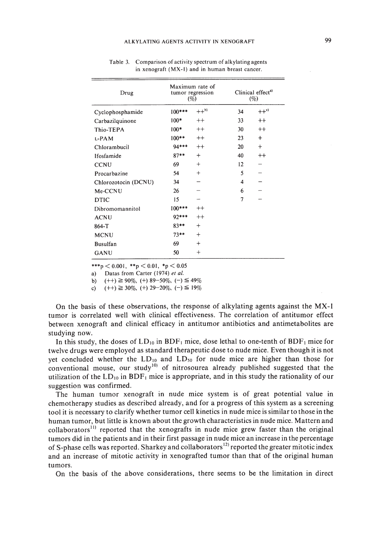| Maximum rate of<br>tumor regression<br>(%) |           | Clinical effect <sup>a)</sup><br>(%) |         |
|--------------------------------------------|-----------|--------------------------------------|---------|
| $100***$                                   | $++^{b}$  | 34                                   | $++c$   |
| $100*$                                     | $^{++}$   | 33                                   | $^{++}$ |
| $100*$                                     | $^{++}$   | 30                                   | $^{++}$ |
| $100**$                                    | $^{++}$   | 23                                   | $^{+}$  |
| 94***                                      | $^{++}$   | 20                                   | $^{+}$  |
| $87**$                                     | $+$       | 40                                   | $^{++}$ |
| 69                                         | $^{+}$    | 12                                   |         |
| 54                                         | $^{+}$    | 5                                    |         |
| 34                                         |           | 4                                    |         |
| 26                                         |           | 6                                    |         |
| 15                                         |           | 7                                    |         |
| $100***$                                   | $^{++}$   |                                      |         |
| 92***                                      | $^{++}$   |                                      |         |
| $83**$                                     | $^{+}$    |                                      |         |
| $73**$                                     | $\ddot{}$ |                                      |         |
| 69                                         | $^{+}$    |                                      |         |
| 50                                         | $+$       |                                      |         |
|                                            |           |                                      |         |

Table 3. Comparison of activity spectrum of alkylating agents in xenograft (MX-I) and in human breast cancer.

\*\*\*p  $< 0.001$ , \*\*p  $< 0.01$ , \*p  $< 0.05$ 

a) Datas from Carter (1974) *et al.*

b)  $(++) \ge 90\%$ ,  $(+) 89-50\%$ ,  $(-) \le 49\%$ 

c)  $(++) \ge 30\%$ ,  $(+)$  29-20\%,  $(-) \le 19\%$ 

On the basis of these observations, the response of alkylating agents against the MX-I tumor is correlated well with clinical effectiveness. The correlation of antitumor effect between xenograft and clinical efficacy in antitumor antibiotics and antimetabolites are studying now.

In this study, the doses of  $LD_{10}$  in  $BDF_1$  mice, dose lethal to one-tenth of  $BDF_1$  mice for twelve drugs were employed as standard therapeutic dose to nude mice. Even though it is not yet concluded whether the  $LD_{10}$  and  $LD_{50}$  for nude mice are higher than those for conventional mouse, our study<sup>10</sup> of nitrosourea already published suggested that the utilization of the  $LD_{10}$  in  $BDF_1$  mice is appropriate, and in this study the rationality of our suggestion was confirmed.

The human tumor xenograft in nude mice system is of great potential value in chemotherapy studies as described already, and for a progress of this system as a screening tool it is necessary to clarify whether tumor cell kinetics in nude mice is similar to those in the human tumor, but little is known about the growth characteristics in nude mice. Mattern and collaborators<sup>11</sup> reported that the xenografts in nude mice grew faster than the original tumors did in the patients and in their first passage in nude mice an increase in the percentage of S-phase cells was reported. Sharkey and collaborators<sup>12</sup> reported the greater mitotic index and an increase of mitotic activity in xenografted tumor than that of the original human tumors.

On the basis of the above considerations, there seems to be the limitation in direct